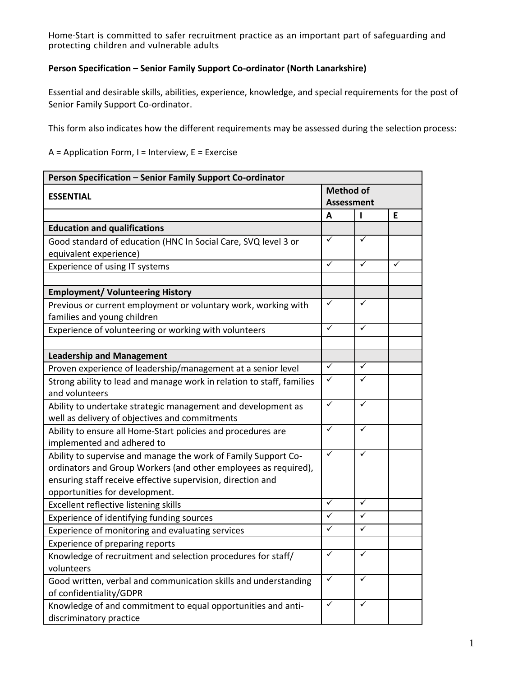Home-Start is committed to safer recruitment practice as an important part of safeguarding and protecting children and vulnerable adults

## **Person Specification – Senior Family Support Co-ordinator (North Lanarkshire)**

Essential and desirable skills, abilities, experience, knowledge, and special requirements for the post of Senior Family Support Co-ordinator.

This form also indicates how the different requirements may be assessed during the selection process:

 $A =$  Application Form, I = Interview, E = Exercise

| <b>Method of</b><br><b>ESSENTIAL</b><br><b>Assessment</b><br>E<br>A<br>п<br><b>Education and qualifications</b><br>$\checkmark$<br>✓<br>Good standard of education (HNC In Social Care, SVQ level 3 or<br>equivalent experience)<br>$\checkmark$<br>$\checkmark$<br>✓<br>Experience of using IT systems<br><b>Employment/ Volunteering History</b><br>$\checkmark$<br>✓<br>Previous or current employment or voluntary work, working with<br>families and young children<br>$\checkmark$<br>$\checkmark$<br>Experience of volunteering or working with volunteers<br><b>Leadership and Management</b><br>$\checkmark$<br>$\checkmark$<br>Proven experience of leadership/management at a senior level<br>$\checkmark$<br>✓<br>Strong ability to lead and manage work in relation to staff, families<br>and volunteers<br>$\checkmark$<br>$\checkmark$<br>Ability to undertake strategic management and development as<br>well as delivery of objectives and commitments<br>$\checkmark$<br>✓<br>Ability to ensure all Home-Start policies and procedures are<br>implemented and adhered to<br>✓<br>$\checkmark$<br>Ability to supervise and manage the work of Family Support Co-<br>ordinators and Group Workers (and other employees as required),<br>ensuring staff receive effective supervision, direction and<br>opportunities for development.<br>$\sqrt{}$<br>✓<br>Excellent reflective listening skills<br>✓<br>$\checkmark$<br>Experience of identifying funding sources<br>$\overline{\checkmark}$<br>$\checkmark$<br>Experience of monitoring and evaluating services<br>Experience of preparing reports<br>$\overline{\checkmark}$<br>$\overline{\checkmark}$<br>Knowledge of recruitment and selection procedures for staff/<br>volunteers<br>$\checkmark$<br>$\checkmark$<br>Good written, verbal and communication skills and understanding<br>of confidentiality/GDPR<br>$\checkmark$<br>$\checkmark$<br>Knowledge of and commitment to equal opportunities and anti- | Person Specification - Senior Family Support Co-ordinator |  |  |  |
|----------------------------------------------------------------------------------------------------------------------------------------------------------------------------------------------------------------------------------------------------------------------------------------------------------------------------------------------------------------------------------------------------------------------------------------------------------------------------------------------------------------------------------------------------------------------------------------------------------------------------------------------------------------------------------------------------------------------------------------------------------------------------------------------------------------------------------------------------------------------------------------------------------------------------------------------------------------------------------------------------------------------------------------------------------------------------------------------------------------------------------------------------------------------------------------------------------------------------------------------------------------------------------------------------------------------------------------------------------------------------------------------------------------------------------------------------------------------------------------------------------------------------------------------------------------------------------------------------------------------------------------------------------------------------------------------------------------------------------------------------------------------------------------------------------------------------------------------------------------------------------------------------------------------------------------------------------------------------------------|-----------------------------------------------------------|--|--|--|
|                                                                                                                                                                                                                                                                                                                                                                                                                                                                                                                                                                                                                                                                                                                                                                                                                                                                                                                                                                                                                                                                                                                                                                                                                                                                                                                                                                                                                                                                                                                                                                                                                                                                                                                                                                                                                                                                                                                                                                                        |                                                           |  |  |  |
|                                                                                                                                                                                                                                                                                                                                                                                                                                                                                                                                                                                                                                                                                                                                                                                                                                                                                                                                                                                                                                                                                                                                                                                                                                                                                                                                                                                                                                                                                                                                                                                                                                                                                                                                                                                                                                                                                                                                                                                        |                                                           |  |  |  |
|                                                                                                                                                                                                                                                                                                                                                                                                                                                                                                                                                                                                                                                                                                                                                                                                                                                                                                                                                                                                                                                                                                                                                                                                                                                                                                                                                                                                                                                                                                                                                                                                                                                                                                                                                                                                                                                                                                                                                                                        |                                                           |  |  |  |
|                                                                                                                                                                                                                                                                                                                                                                                                                                                                                                                                                                                                                                                                                                                                                                                                                                                                                                                                                                                                                                                                                                                                                                                                                                                                                                                                                                                                                                                                                                                                                                                                                                                                                                                                                                                                                                                                                                                                                                                        |                                                           |  |  |  |
|                                                                                                                                                                                                                                                                                                                                                                                                                                                                                                                                                                                                                                                                                                                                                                                                                                                                                                                                                                                                                                                                                                                                                                                                                                                                                                                                                                                                                                                                                                                                                                                                                                                                                                                                                                                                                                                                                                                                                                                        |                                                           |  |  |  |
|                                                                                                                                                                                                                                                                                                                                                                                                                                                                                                                                                                                                                                                                                                                                                                                                                                                                                                                                                                                                                                                                                                                                                                                                                                                                                                                                                                                                                                                                                                                                                                                                                                                                                                                                                                                                                                                                                                                                                                                        |                                                           |  |  |  |
|                                                                                                                                                                                                                                                                                                                                                                                                                                                                                                                                                                                                                                                                                                                                                                                                                                                                                                                                                                                                                                                                                                                                                                                                                                                                                                                                                                                                                                                                                                                                                                                                                                                                                                                                                                                                                                                                                                                                                                                        |                                                           |  |  |  |
|                                                                                                                                                                                                                                                                                                                                                                                                                                                                                                                                                                                                                                                                                                                                                                                                                                                                                                                                                                                                                                                                                                                                                                                                                                                                                                                                                                                                                                                                                                                                                                                                                                                                                                                                                                                                                                                                                                                                                                                        |                                                           |  |  |  |
|                                                                                                                                                                                                                                                                                                                                                                                                                                                                                                                                                                                                                                                                                                                                                                                                                                                                                                                                                                                                                                                                                                                                                                                                                                                                                                                                                                                                                                                                                                                                                                                                                                                                                                                                                                                                                                                                                                                                                                                        |                                                           |  |  |  |
|                                                                                                                                                                                                                                                                                                                                                                                                                                                                                                                                                                                                                                                                                                                                                                                                                                                                                                                                                                                                                                                                                                                                                                                                                                                                                                                                                                                                                                                                                                                                                                                                                                                                                                                                                                                                                                                                                                                                                                                        |                                                           |  |  |  |
|                                                                                                                                                                                                                                                                                                                                                                                                                                                                                                                                                                                                                                                                                                                                                                                                                                                                                                                                                                                                                                                                                                                                                                                                                                                                                                                                                                                                                                                                                                                                                                                                                                                                                                                                                                                                                                                                                                                                                                                        |                                                           |  |  |  |
|                                                                                                                                                                                                                                                                                                                                                                                                                                                                                                                                                                                                                                                                                                                                                                                                                                                                                                                                                                                                                                                                                                                                                                                                                                                                                                                                                                                                                                                                                                                                                                                                                                                                                                                                                                                                                                                                                                                                                                                        |                                                           |  |  |  |
|                                                                                                                                                                                                                                                                                                                                                                                                                                                                                                                                                                                                                                                                                                                                                                                                                                                                                                                                                                                                                                                                                                                                                                                                                                                                                                                                                                                                                                                                                                                                                                                                                                                                                                                                                                                                                                                                                                                                                                                        |                                                           |  |  |  |
|                                                                                                                                                                                                                                                                                                                                                                                                                                                                                                                                                                                                                                                                                                                                                                                                                                                                                                                                                                                                                                                                                                                                                                                                                                                                                                                                                                                                                                                                                                                                                                                                                                                                                                                                                                                                                                                                                                                                                                                        |                                                           |  |  |  |
|                                                                                                                                                                                                                                                                                                                                                                                                                                                                                                                                                                                                                                                                                                                                                                                                                                                                                                                                                                                                                                                                                                                                                                                                                                                                                                                                                                                                                                                                                                                                                                                                                                                                                                                                                                                                                                                                                                                                                                                        |                                                           |  |  |  |
|                                                                                                                                                                                                                                                                                                                                                                                                                                                                                                                                                                                                                                                                                                                                                                                                                                                                                                                                                                                                                                                                                                                                                                                                                                                                                                                                                                                                                                                                                                                                                                                                                                                                                                                                                                                                                                                                                                                                                                                        |                                                           |  |  |  |
|                                                                                                                                                                                                                                                                                                                                                                                                                                                                                                                                                                                                                                                                                                                                                                                                                                                                                                                                                                                                                                                                                                                                                                                                                                                                                                                                                                                                                                                                                                                                                                                                                                                                                                                                                                                                                                                                                                                                                                                        |                                                           |  |  |  |
|                                                                                                                                                                                                                                                                                                                                                                                                                                                                                                                                                                                                                                                                                                                                                                                                                                                                                                                                                                                                                                                                                                                                                                                                                                                                                                                                                                                                                                                                                                                                                                                                                                                                                                                                                                                                                                                                                                                                                                                        |                                                           |  |  |  |
|                                                                                                                                                                                                                                                                                                                                                                                                                                                                                                                                                                                                                                                                                                                                                                                                                                                                                                                                                                                                                                                                                                                                                                                                                                                                                                                                                                                                                                                                                                                                                                                                                                                                                                                                                                                                                                                                                                                                                                                        |                                                           |  |  |  |
|                                                                                                                                                                                                                                                                                                                                                                                                                                                                                                                                                                                                                                                                                                                                                                                                                                                                                                                                                                                                                                                                                                                                                                                                                                                                                                                                                                                                                                                                                                                                                                                                                                                                                                                                                                                                                                                                                                                                                                                        |                                                           |  |  |  |
|                                                                                                                                                                                                                                                                                                                                                                                                                                                                                                                                                                                                                                                                                                                                                                                                                                                                                                                                                                                                                                                                                                                                                                                                                                                                                                                                                                                                                                                                                                                                                                                                                                                                                                                                                                                                                                                                                                                                                                                        |                                                           |  |  |  |
|                                                                                                                                                                                                                                                                                                                                                                                                                                                                                                                                                                                                                                                                                                                                                                                                                                                                                                                                                                                                                                                                                                                                                                                                                                                                                                                                                                                                                                                                                                                                                                                                                                                                                                                                                                                                                                                                                                                                                                                        |                                                           |  |  |  |
|                                                                                                                                                                                                                                                                                                                                                                                                                                                                                                                                                                                                                                                                                                                                                                                                                                                                                                                                                                                                                                                                                                                                                                                                                                                                                                                                                                                                                                                                                                                                                                                                                                                                                                                                                                                                                                                                                                                                                                                        |                                                           |  |  |  |
|                                                                                                                                                                                                                                                                                                                                                                                                                                                                                                                                                                                                                                                                                                                                                                                                                                                                                                                                                                                                                                                                                                                                                                                                                                                                                                                                                                                                                                                                                                                                                                                                                                                                                                                                                                                                                                                                                                                                                                                        |                                                           |  |  |  |
|                                                                                                                                                                                                                                                                                                                                                                                                                                                                                                                                                                                                                                                                                                                                                                                                                                                                                                                                                                                                                                                                                                                                                                                                                                                                                                                                                                                                                                                                                                                                                                                                                                                                                                                                                                                                                                                                                                                                                                                        |                                                           |  |  |  |
|                                                                                                                                                                                                                                                                                                                                                                                                                                                                                                                                                                                                                                                                                                                                                                                                                                                                                                                                                                                                                                                                                                                                                                                                                                                                                                                                                                                                                                                                                                                                                                                                                                                                                                                                                                                                                                                                                                                                                                                        |                                                           |  |  |  |
|                                                                                                                                                                                                                                                                                                                                                                                                                                                                                                                                                                                                                                                                                                                                                                                                                                                                                                                                                                                                                                                                                                                                                                                                                                                                                                                                                                                                                                                                                                                                                                                                                                                                                                                                                                                                                                                                                                                                                                                        |                                                           |  |  |  |
|                                                                                                                                                                                                                                                                                                                                                                                                                                                                                                                                                                                                                                                                                                                                                                                                                                                                                                                                                                                                                                                                                                                                                                                                                                                                                                                                                                                                                                                                                                                                                                                                                                                                                                                                                                                                                                                                                                                                                                                        |                                                           |  |  |  |
|                                                                                                                                                                                                                                                                                                                                                                                                                                                                                                                                                                                                                                                                                                                                                                                                                                                                                                                                                                                                                                                                                                                                                                                                                                                                                                                                                                                                                                                                                                                                                                                                                                                                                                                                                                                                                                                                                                                                                                                        |                                                           |  |  |  |
|                                                                                                                                                                                                                                                                                                                                                                                                                                                                                                                                                                                                                                                                                                                                                                                                                                                                                                                                                                                                                                                                                                                                                                                                                                                                                                                                                                                                                                                                                                                                                                                                                                                                                                                                                                                                                                                                                                                                                                                        |                                                           |  |  |  |
|                                                                                                                                                                                                                                                                                                                                                                                                                                                                                                                                                                                                                                                                                                                                                                                                                                                                                                                                                                                                                                                                                                                                                                                                                                                                                                                                                                                                                                                                                                                                                                                                                                                                                                                                                                                                                                                                                                                                                                                        |                                                           |  |  |  |
|                                                                                                                                                                                                                                                                                                                                                                                                                                                                                                                                                                                                                                                                                                                                                                                                                                                                                                                                                                                                                                                                                                                                                                                                                                                                                                                                                                                                                                                                                                                                                                                                                                                                                                                                                                                                                                                                                                                                                                                        |                                                           |  |  |  |
|                                                                                                                                                                                                                                                                                                                                                                                                                                                                                                                                                                                                                                                                                                                                                                                                                                                                                                                                                                                                                                                                                                                                                                                                                                                                                                                                                                                                                                                                                                                                                                                                                                                                                                                                                                                                                                                                                                                                                                                        | discriminatory practice                                   |  |  |  |